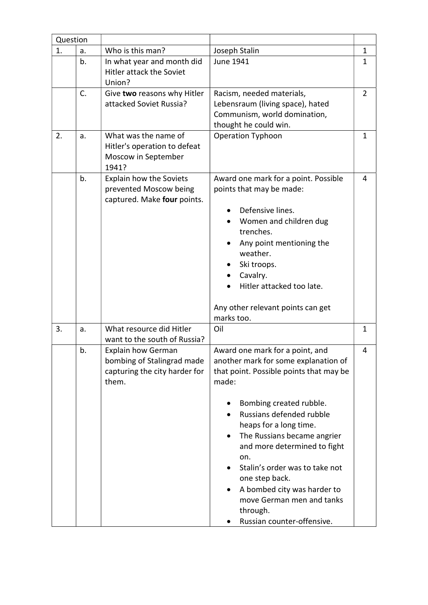| Question |    |                                                                                                   |                                                                                                                                                                                                                                                                                                                                                                                                                                                                        |                |
|----------|----|---------------------------------------------------------------------------------------------------|------------------------------------------------------------------------------------------------------------------------------------------------------------------------------------------------------------------------------------------------------------------------------------------------------------------------------------------------------------------------------------------------------------------------------------------------------------------------|----------------|
| 1.       | a. | Who is this man?                                                                                  | Joseph Stalin                                                                                                                                                                                                                                                                                                                                                                                                                                                          | 1              |
|          | b. | In what year and month did<br><b>Hitler attack the Soviet</b><br>Union?                           | June 1941                                                                                                                                                                                                                                                                                                                                                                                                                                                              | $\mathbf{1}$   |
|          | C. | Give two reasons why Hitler<br>attacked Soviet Russia?                                            | Racism, needed materials,<br>Lebensraum (living space), hated<br>Communism, world domination,<br>thought he could win.                                                                                                                                                                                                                                                                                                                                                 | $\overline{2}$ |
| 2.       | a. | What was the name of<br>Hitler's operation to defeat<br>Moscow in September<br>1941?              | Operation Typhoon                                                                                                                                                                                                                                                                                                                                                                                                                                                      | $\mathbf{1}$   |
|          | b. | Explain how the Soviets<br>prevented Moscow being<br>captured. Make four points.                  | Award one mark for a point. Possible<br>points that may be made:<br>Defensive lines.<br>Women and children dug<br>trenches.<br>Any point mentioning the<br>weather.<br>Ski troops.<br>Cavalry.<br>Hitler attacked too late.<br>Any other relevant points can get<br>marks too.                                                                                                                                                                                         | 4              |
| 3.       | a. | What resource did Hitler<br>want to the south of Russia?                                          | Oil                                                                                                                                                                                                                                                                                                                                                                                                                                                                    | $\mathbf{1}$   |
|          | b. | <b>Explain how German</b><br>bombing of Stalingrad made<br>capturing the city harder for<br>them. | Award one mark for a point, and<br>another mark for some explanation of<br>that point. Possible points that may be<br>made:<br>Bombing created rubble.<br>Russians defended rubble<br>$\bullet$<br>heaps for a long time.<br>The Russians became angrier<br>$\bullet$<br>and more determined to fight<br>on.<br>Stalin's order was to take not<br>one step back.<br>A bombed city was harder to<br>move German men and tanks<br>through.<br>Russian counter-offensive. | 4              |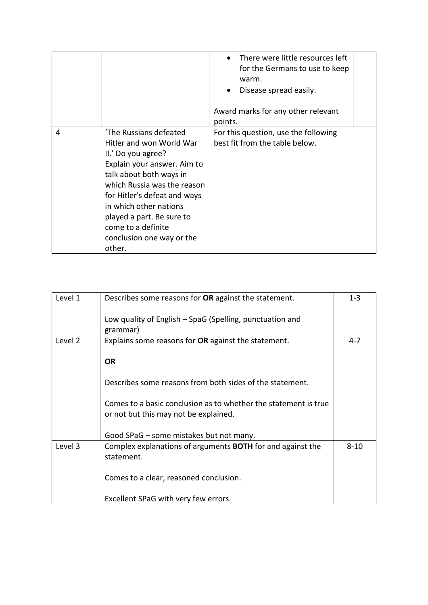|   |                                                                                                                                                                                                                                                                                                                       | There were little resources left<br>for the Germans to use to keep<br>warm.<br>Disease spread easily.<br>Award marks for any other relevant<br>points. |  |
|---|-----------------------------------------------------------------------------------------------------------------------------------------------------------------------------------------------------------------------------------------------------------------------------------------------------------------------|--------------------------------------------------------------------------------------------------------------------------------------------------------|--|
| 4 | 'The Russians defeated<br>Hitler and won World War<br>II.' Do you agree?<br>Explain your answer. Aim to<br>talk about both ways in<br>which Russia was the reason<br>for Hitler's defeat and ways<br>in which other nations<br>played a part. Be sure to<br>come to a definite<br>conclusion one way or the<br>other. | For this question, use the following<br>best fit from the table below.                                                                                 |  |

| Level 1 | Describes some reasons for OR against the statement.                                                     | $1 - 3$  |
|---------|----------------------------------------------------------------------------------------------------------|----------|
|         | Low quality of English – SpaG (Spelling, punctuation and<br>grammar)                                     |          |
| Level 2 | Explains some reasons for OR against the statement.                                                      | 4-7      |
|         | <b>OR</b>                                                                                                |          |
|         | Describes some reasons from both sides of the statement.                                                 |          |
|         | Comes to a basic conclusion as to whether the statement is true<br>or not but this may not be explained. |          |
|         | Good SPaG - some mistakes but not many.                                                                  |          |
| Level 3 | Complex explanations of arguments <b>BOTH</b> for and against the<br>statement.                          | $8 - 10$ |
|         | Comes to a clear, reasoned conclusion.                                                                   |          |
|         | Excellent SPaG with very few errors.                                                                     |          |